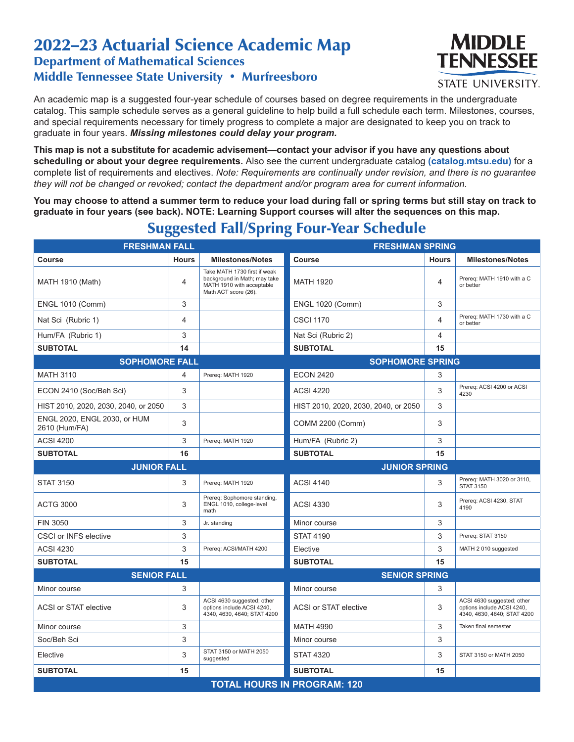## 2022–23 Actuarial Science Academic Map Department of Mathematical Sciences Middle Tennessee State University • Murfreesboro



An academic map is a suggested four-year schedule of courses based on degree requirements in the undergraduate catalog. This sample schedule serves as a general guideline to help build a full schedule each term. Milestones, courses, and special requirements necessary for timely progress to complete a major are designated to keep you on track to graduate in four years. *Missing milestones could delay your program.*

**This map is not a substitute for academic advisement—contact your advisor if you have any questions about scheduling or about your degree requirements.** Also see the current undergraduate catalog **(catalog.mtsu.edu)** for a complete list of requirements and electives. *Note: Requirements are continually under revision, and there is no guarantee they will not be changed or revoked; contact the department and/or program area for current information.*

**You may choose to attend a summer term to reduce your load during fall or spring terms but still stay on track to graduate in four years (see back). NOTE: Learning Support courses will alter the sequences on this map.**

**FRESHMAN FALL FRESHMAN SPRING Course Course Hours Milestones/Notes Course Course Hours Milestones/Notes** MATH 1910 (Math) 4 Take MATH 1730 first if weak background in Math; may take MATH 1910 with acceptable Math ACT score (26). MATH 1920  $\begin{array}{|c|c|c|c|}\n\hline\n & 4 & \text{Prereq: MATH 1910 with a C}\n\end{array}$ or better ENGL 1010 (Comm) 3 ENGL 1020 (Comm) 3 Nat Sci (Rubric 1) 4 CSCI 1170 Prereg: MATH 1730 with a C or better Hum/FA (Rubric 1) 3 3 3 Nat Sci (Rubric 2) 4 4 **SUBTOTAL 14 SUBTOTAL 15 SOPHOMORE FALL SOPHOMORE SPRING** MATH 3110 **According to Accord 21 Prereq:** MATH 1920 **ECON 2420** 3 ECON 2410 (Soc/Beh Sci) 3 ACSI 4220 3 Prereq: ACSI 4200 or ACSI 4230 HIST 2010, 2020, 2030, 2040, or 2050 3 HIST 2010, 2020, 2030, 2040, or 2050 3 ENGL 2020, ENGL 2030, or HUM 2610 (Hum/FA) 3 3 COMM 2200 (Comm) 3 3 3 3 3 4 COMM 2200 (Comm) ACSI 4200 **3** Prereq: MATH 1920 **Hum/FA** (Rubric 2) 3 3 **SUBTOTAL** 15 30BTOTAL 15 **JUNIOR FALL JUNIOR SPRING** STAT 3150  $\begin{array}{|c|c|c|c|c|c|}\n\hline\n & 3 & \text{Prereq: MATH 1920} \\
\hline\n & 3 & 4 & \text{Prereq: MATH 3020 or 3110,} \\
\hline\n\end{array}$ STAT 3150 ACTG 3000 3 Prereq: Sophomore standing, ENGL 1010, college-level math ACSI 4330 3 Prereq: ACSI 4230, STAT 4190 FIN 3050 Service Contract Contract Contract Service Contract Contract Service Contract Contract Contract Contract Service Contract Service Contract Contract Service Contract Service Contract Oriental Contract Oriental Cont CSCI or INFS elective **3** 3 STAT 4190 3 Prereq: STAT 3150 ACSI 4230 **3** Prereq: ACSI/MATH 4200 **Elective 3** MATH 2 010 suggested **SUBTOTAL 15 SUBTOTAL 15 SENIOR FALL SENIOR SPRING** Minor course **3** 3 3 Minor course 3 3 3 3 Minor course 3 3 3 3 3  $\sim$ ACSI or STAT elective **3** ACSI 4630 suggested; other options include ACSI 4240, 4340, 4630, 4640; STAT 4200 ACSI or STAT elective **3** ACSI 4630 suggested; other options include ACSI 4240, 4340, 4630, 4640; STAT 4200 Minor course 3 MATH 4990 3 | Taken final semester Soc/Beh Sci 3 Minor course 3 Elective State 3 State State State State State State State State State State State State State State State State State State State State State State State State State State State State State State State State State State S STAT 4320 3 STAT 3150 or MATH 2050 **SUBTOTAL 15 SUBTOTAL 15 TOTAL HOURS IN PROGRAM: 120**

## Suggested Fall/Spring Four-Year Schedule